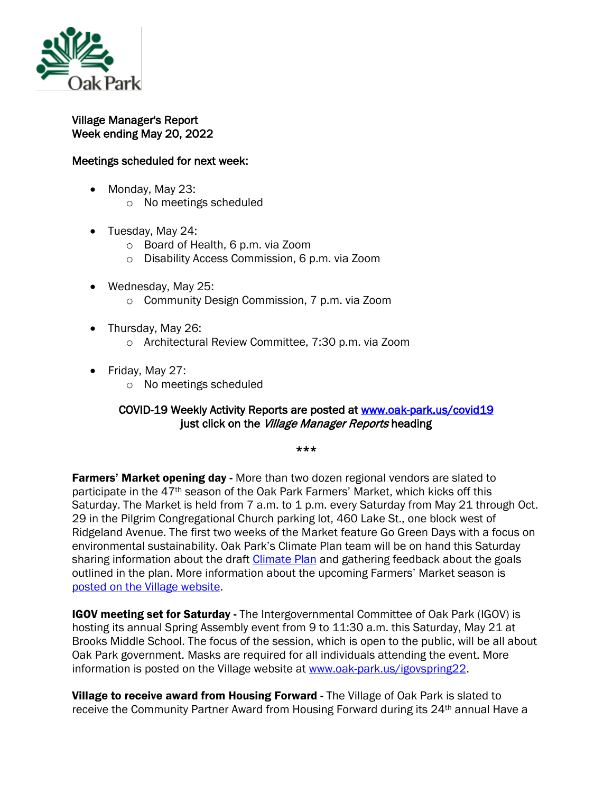

## Village Manager's Report Week ending May 20, 2022

## Meetings scheduled for next week:

- Monday, May 23:
	- o No meetings scheduled
- Tuesday, May 24:
	- o Board of Health, 6 p.m. via Zoom
	- o Disability Access Commission, 6 p.m. via Zoom
- Wednesday, May 25:
	- o Community Design Commission, 7 p.m. via Zoom
- Thursday, May 26:
	- o Architectural Review Committee, 7:30 p.m. via Zoom
- Friday, May 27:
	- o No meetings scheduled

## COVID-19 Weekly Activity Reports are posted at [www.oak-park.us/covid19](http://www.oak-park.us/covid19)  just click on the Village Manager Reports heading

\*\*\*

**Farmers' Market opening day -** More than two dozen regional vendors are slated to participate in the 47th season of the Oak Park Farmers' Market, which kicks off this Saturday. The Market is held from 7 a.m. to 1 p.m. every Saturday from May 21 through Oct. 29 in the Pilgrim Congregational Church parking lot, 460 Lake St., one block west of Ridgeland Avenue. The first two weeks of the Market feature Go Green Days with a focus on environmental sustainability. Oak Park's Climate Plan team will be on hand this Saturday sharing information about the draft [Climate Plan](https://graef.mysocialpinpoint.com/oak-park-climate-plan) and gathering feedback about the goals outlined in the plan. More information about the upcoming Farmers' Market season is [posted on the Village website.](https://www.oak-park.us/news/oak-park-farmers-market-returns-47th-season)

IGOV meeting set for Saturday - The Intergovernmental Committee of Oak Park (IGOV) is hosting its annual Spring Assembly event from 9 to 11:30 a.m. this Saturday, May 21 at Brooks Middle School. The focus of the session, which is open to the public, will be all about Oak Park government. Masks are required for all individuals attending the event. More information is posted on the Village website at [www.oak-park.us/igovspring22.](http://www.oak-park.us/igovspring22)

Village to receive award from Housing Forward - The Village of Oak Park is slated to receive the Community Partner Award from Housing Forward during its 24<sup>th</sup> annual Have a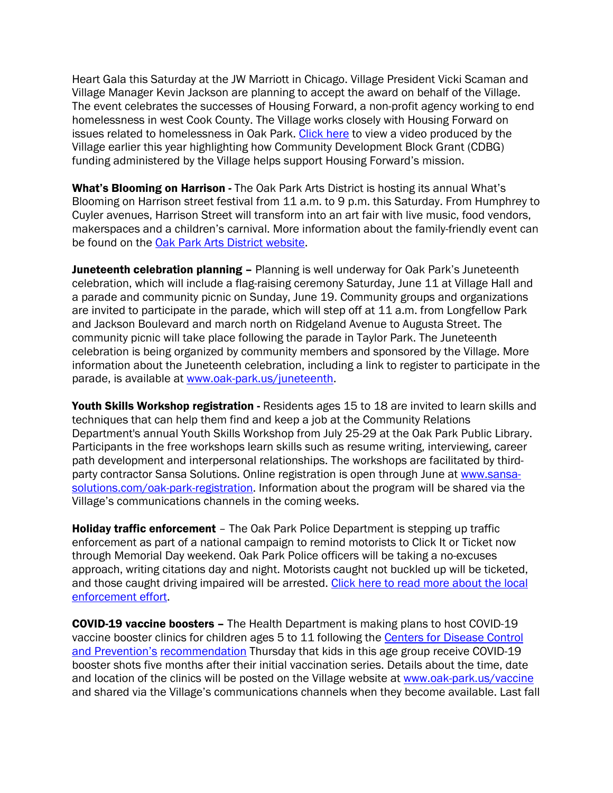Heart Gala this Saturday at the JW Marriott in Chicago. Village President Vicki Scaman and Village Manager Kevin Jackson are planning to accept the award on behalf of the Village. The event celebrates the successes of Housing Forward, a non-profit agency working to end homelessness in west Cook County. The Village works closely with Housing Forward on issues related to homelessness in Oak Park. [Click here](https://youtu.be/qejiB_LK9Yc) to view a video produced by the Village earlier this year highlighting how Community Development Block Grant (CDBG) funding administered by the Village helps support Housing Forward's mission.

What's Blooming on Harrison - The Oak Park Arts District is hosting its annual What's Blooming on Harrison street festival from 11 a.m. to 9 p.m. this Saturday. From Humphrey to Cuyler avenues, Harrison Street will transform into an art fair with live music, food vendors, makerspaces and a children's carnival. More information about the family-friendly event can be found on the [Oak Park Arts District website.](https://oakparkartsdistrict.com/event-directory-2/whats-blooming-on-harrison-street/)

Juneteenth celebration planning - Planning is well underway for Oak Park's Juneteenth celebration, which will include a flag-raising ceremony Saturday, June 11 at Village Hall and a parade and community picnic on Sunday, June 19. Community groups and organizations are invited to participate in the parade, which will step off at 11 a.m. from Longfellow Park and Jackson Boulevard and march north on Ridgeland Avenue to Augusta Street. The community picnic will take place following the parade in Taylor Park. The Juneteenth celebration is being organized by community members and sponsored by the Village. More information about the Juneteenth celebration, including a link to register to participate in the parade, is available at [www.oak-park.us/juneteenth.](http://www.oak-park.us/juneteenth)

Youth Skills Workshop registration - Residents ages 15 to 18 are invited to learn skills and techniques that can help them find and keep a job at the Community Relations Department's annual Youth Skills Workshop from July 25-29 at the Oak Park Public Library. Participants in the free workshops learn skills such as resume writing, interviewing, career path development and interpersonal relationships. The workshops are facilitated by thirdparty contractor Sansa Solutions. Online registration is open through June at [www.sansa](http://www.sansa-solutions.com/oak-park-registration)[solutions.com/oak-park-registration.](http://www.sansa-solutions.com/oak-park-registration) Information about the program will be shared via the Village's communications channels in the coming weeks.

Holiday traffic enforcement - The Oak Park Police Department is stepping up traffic enforcement as part of a national campaign to remind motorists to Click It or Ticket now through Memorial Day weekend. Oak Park Police officers will be taking a no-excuses approach, writing citations day and night. Motorists caught not buckled up will be ticketed, and those caught driving impaired will be arrested. [Click here to read more about the local](https://www.oak-park.us/news/oak-park-police-department-reminds-you-click-it-or-ticket)  [enforcement effort.](https://www.oak-park.us/news/oak-park-police-department-reminds-you-click-it-or-ticket)

COVID-19 vaccine boosters – The Health Department is making plans to host COVID-19 vaccine booster clinics for children ages 5 to 11 following the [Centers for Disease Control](https://www.cdc.gov/media/releases/2022/s0519-covid-booster-acip.html)  [and Prevention's](https://www.cdc.gov/media/releases/2022/s0519-covid-booster-acip.html) [recommendation](https://www.cdc.gov/media/releases/2022/s0519-covid-booster-acip.html) Thursday that kids in this age group receive COVID-19 booster shots five months after their initial vaccination series. Details about the time, date and location of the clinics will be posted on the Village website at [www.oak-park.us/vaccine](http://www.oak-park.us/vaccine) and shared via the Village's communications channels when they become available. Last fall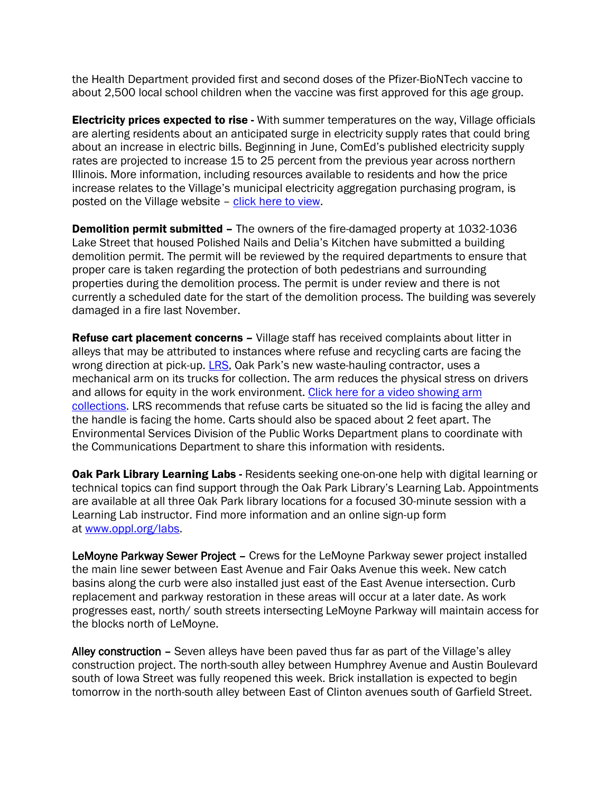the Health Department provided first and second doses of the Pfizer-BioNTech vaccine to about 2,500 local school children when the vaccine was first approved for this age group.

**Electricity prices expected to rise -** With summer temperatures on the way, Village officials are alerting residents about an anticipated surge in electricity supply rates that could bring about an increase in electric bills. Beginning in June, ComEd's published electricity supply rates are projected to increase 15 to 25 percent from the previous year across northern Illinois. More information, including resources available to residents and how the price increase relates to the Village's municipal electricity aggregation purchasing program, is posted on the Village website – [click here to view.](https://www.oak-park.us/news/electricity-prices-expected-surge-summer)

Demolition permit submitted – The owners of the fire-damaged property at 1032-1036 Lake Street that housed Polished Nails and Delia's Kitchen have submitted a building demolition permit. The permit will be reviewed by the required departments to ensure that proper care is taken regarding the protection of both pedestrians and surrounding properties during the demolition process. The permit is under review and there is not currently a scheduled date for the start of the demolition process. The building was severely damaged in a fire last November.

**Refuse cart placement concerns –** Village staff has received complaints about litter in alleys that may be attributed to instances where refuse and recycling carts are facing the wrong direction at pick-up. [LRS,](http://www.lrsrecycles.com/oakpark) Oak Park's new waste-hauling contractor, uses a mechanical arm on its trucks for collection. The arm reduces the physical stress on drivers and allows for equity in the work environment. [Click here for a video showing arm](https://www.youtube.com/watch?v=cWLLXECxxKQ)  [collections.](https://www.youtube.com/watch?v=cWLLXECxxKQ) LRS recommends that refuse carts be situated so the lid is facing the alley and the handle is facing the home. Carts should also be spaced about 2 feet apart. The Environmental Services Division of the Public Works Department plans to coordinate with the Communications Department to share this information with residents.

**Oak Park Library Learning Labs - Residents seeking one-on-one help with digital learning or** technical topics can find support through the Oak Park Library's Learning Lab. Appointments are available at all three Oak Park library locations for a focused 30-minute session with a Learning Lab instructor. Find more information and an online sign-up form at [www.oppl.org/labs.](http://www.oppl.org/labs)

LeMoyne Parkway Sewer Project – Crews for the LeMoyne Parkway sewer project installed the main line sewer between East Avenue and Fair Oaks Avenue this week. New catch basins along the curb were also installed just east of the East Avenue intersection. Curb replacement and parkway restoration in these areas will occur at a later date. As work progresses east, north/ south streets intersecting LeMoyne Parkway will maintain access for the blocks north of LeMoyne.

Alley construction - Seven alleys have been paved thus far as part of the Village's alley construction project. The north-south alley between Humphrey Avenue and Austin Boulevard south of Iowa Street was fully reopened this week. Brick installation is expected to begin tomorrow in the north-south alley between East of Clinton avenues south of Garfield Street.